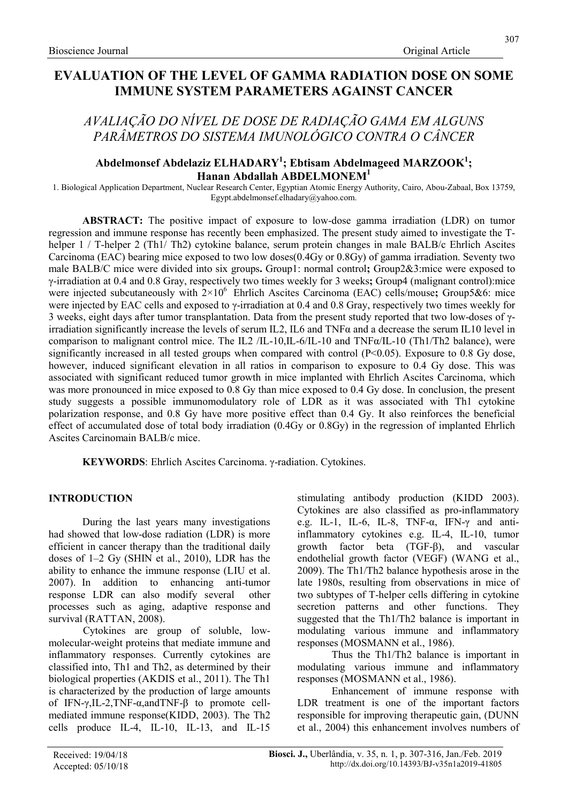# EVALUATION OF THE LEVEL OF GAMMA RADIATION DOSE ON SOME IMMUNE SYSTEM PARAMETERS AGAINST CANCER

# AVALIAÇÃO DO NÍVEL DE DOSE DE RADIAÇÃO GAMA EM ALGUNS PARÂMETROS DO SISTEMA IMUNOLÓGICO CONTRA O CÂNCER

# Abdelmonsef Abdelaziz ELHADARY<sup>1</sup>; Ebtisam Abdelmageed MARZOOK<sup>1</sup>; Hanan Abdallah ABDELMONEM<sup>1</sup>

1. Biological Application Department, Nuclear Research Center, Egyptian Atomic Energy Authority, Cairo, Abou-Zabaal, Box 13759, Egypt.abdelmonsef.elhadary@yahoo.com.

ABSTRACT: The positive impact of exposure to low-dose gamma irradiation (LDR) on tumor regression and immune response has recently been emphasized. The present study aimed to investigate the Thelper 1 / T-helper 2 (Th1/ Th2) cytokine balance, serum protein changes in male BALB/c Ehrlich Ascites Carcinoma (EAC) bearing mice exposed to two low doses(0.4Gy or 0.8Gy) of gamma irradiation. Seventy two male BALB/C mice were divided into six groups. Group1: normal control; Group2&3:mice were exposed to γ-irradiation at 0.4 and 0.8 Gray, respectively two times weekly for 3 weeks; Group4 (malignant control):mice were injected subcutaneously with  $2\times10^6$  Ehrlich Ascites Carcinoma (EAC) cells/mouse; Group5&6: mice were injected by EAC cells and exposed to γ-irradiation at 0.4 and 0.8 Gray, respectively two times weekly for 3 weeks, eight days after tumor transplantation. Data from the present study reported that two low-doses of γirradiation significantly increase the levels of serum IL2, IL6 and TNFα and a decrease the serum IL10 level in comparison to malignant control mice. The IL2 /IL-10,IL-6/IL-10 and TNFα/IL-10 (Th1/Th2 balance), were significantly increased in all tested groups when compared with control (P<0.05). Exposure to 0.8 Gy dose, however, induced significant elevation in all ratios in comparison to exposure to 0.4 Gy dose. This was associated with significant reduced tumor growth in mice implanted with Ehrlich Ascites Carcinoma, which was more pronounced in mice exposed to 0.8 Gy than mice exposed to 0.4 Gy dose. In conclusion, the present study suggests a possible immunomodulatory role of LDR as it was associated with Th1 cytokine polarization response, and 0.8 Gy have more positive effect than 0.4 Gy. It also reinforces the beneficial effect of accumulated dose of total body irradiation (0.4Gy or 0.8Gy) in the regression of implanted Ehrlich Ascites Carcinomain BALB/c mice.

KEYWORDS: Ehrlich Ascites Carcinoma. γ-radiation. Cytokines.

# INTRODUCTION

During the last years many investigations had showed that low-dose radiation (LDR) is more efficient in cancer therapy than the traditional daily doses of 1–2 Gy (SHIN et al., 2010), LDR has the ability to enhance the immune response (LIU et al. 2007). In addition to enhancing anti-tumor response LDR can also modify several other processes such as aging, adaptive response and survival (RATTAN, 2008).

Cytokines are group of soluble, lowmolecular-weight proteins that mediate immune and inflammatory responses. Currently cytokines are classified into, Th1 and Th2, as determined by their biological properties (AKDIS et al., 2011). The Th1 is characterized by the production of large amounts of IFN-γ,IL-2,TNF-α,andTNF-β to promote cellmediated immune response(KIDD, 2003). The Th2 cells produce IL-4, IL-10, IL-13, and IL-15 stimulating antibody production (KIDD 2003). Cytokines are also classified as pro-inflammatory e.g. IL-1, IL-6, IL-8, TNF-α, IFN-γ and antiinflammatory cytokines e.g. IL-4, IL-10, tumor growth factor beta (TGF-β), and vascular endothelial growth factor (VEGF) (WANG et al., 2009). The Th1/Th2 balance hypothesis arose in the late 1980s, resulting from observations in mice of two subtypes of T-helper cells differing in cytokine secretion patterns and other functions. They suggested that the Th1/Th2 balance is important in modulating various immune and inflammatory responses (MOSMANN et al., 1986).

Thus the Th1/Th2 balance is important in modulating various immune and inflammatory responses (MOSMANN et al., 1986).

Enhancement of immune response with LDR treatment is one of the important factors responsible for improving therapeutic gain, (DUNN et al., 2004) this enhancement involves numbers of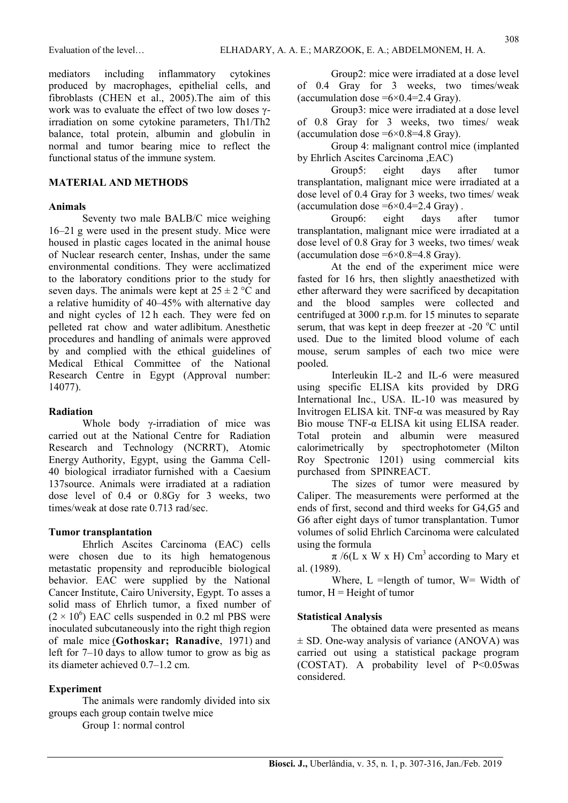mediators including inflammatory cytokines produced by macrophages, epithelial cells, and fibroblasts (CHEN et al., 2005).The aim of this work was to evaluate the effect of two low doses γirradiation on some cytokine parameters, Th1/Th2 balance, total protein, albumin and globulin in normal and tumor bearing mice to reflect the functional status of the immune system.

## MATERIAL AND METHODS

#### Animals

Seventy two male BALB/C mice weighing 16–21 g were used in the present study. Mice were housed in plastic cages located in the animal house of Nuclear research center, Inshas, under the same environmental conditions. They were acclimatized to the laboratory conditions prior to the study for seven days. The animals were kept at  $25 \pm 2$  °C and a relative humidity of 40–45% with alternative day and night cycles of 12 h each. They were fed on pelleted rat chow and water adlibitum. Anesthetic procedures and handling of animals were approved by and complied with the ethical guidelines of Medical Ethical Committee of the National Research Centre in Egypt (Approval number: 14077).

## Radiation

Whole body γ-irradiation of mice was carried out at the National Centre for Radiation Research and Technology (NCRRT), Atomic Energy Authority, Egypt, using the Gamma Cell-40 biological irradiator furnished with a Caesium 137source. Animals were irradiated at a radiation dose level of 0.4 or 0.8Gy for 3 weeks, two times/weak at dose rate 0.713 rad/sec.

## Tumor transplantation

Ehrlich Ascites Carcinoma (EAC) cells were chosen due to its high hematogenous metastatic propensity and reproducible biological behavior. EAC were supplied by the National Cancer Institute, Cairo University, Egypt. To asses a solid mass of Ehrlich tumor, a fixed number of  $(2 \times 10^6)$  EAC cells suspended in 0.2 ml PBS were inoculated subcutaneously into the right thigh region of male mice (Gothoskar; Ranadive, 1971) and left for 7–10 days to allow tumor to grow as big as its diameter achieved 0.7–1.2 cm.

## Experiment

The animals were randomly divided into six groups each group contain twelve mice

Group 1: normal control

Group2: mice were irradiated at a dose level of 0.4 Gray for 3 weeks, two times/weak (accumulation dose  $=6\times0.4=2.4$  Gray).

Group3: mice were irradiated at a dose level of 0.8 Gray for 3 weeks, two times/ weak (accumulation dose  $=6\times0.8=4.8$  Gray).

Group 4: malignant control mice (implanted by Ehrlich Ascites Carcinoma ,EAC)

Group5: eight days after tumor transplantation, malignant mice were irradiated at a dose level of 0.4 Gray for 3 weeks, two times/ weak (accumulation dose  $=6\times0.4=2.4$  Gray).

Group6: eight days after tumor transplantation, malignant mice were irradiated at a dose level of 0.8 Gray for 3 weeks, two times/ weak (accumulation dose  $=6\times0.8=4.8$  Gray).

At the end of the experiment mice were fasted for 16 hrs, then slightly anaesthetized with ether afterward they were sacrificed by decapitation and the blood samples were collected and centrifuged at 3000 r.p.m. for 15 minutes to separate serum, that was kept in deep freezer at -20  $^{\circ}$ C until used. Due to the limited blood volume of each mouse, serum samples of each two mice were pooled.

Interleukin IL-2 and IL-6 were measured using specific ELISA kits provided by DRG International Inc., USA. IL-10 was measured by Invitrogen ELISA kit. TNF-α was measured by Ray Bio mouse TNF-α ELISA kit using ELISA reader. Total protein and albumin were measured calorimetrically by spectrophotometer (Milton Roy Spectronic 1201) using commercial kits purchased from SPINREACT.

The sizes of tumor were measured by Caliper. The measurements were performed at the ends of first, second and third weeks for G4,G5 and G6 after eight days of tumor transplantation. Tumor volumes of solid Ehrlich Carcinoma were calculated using the formula

 $\pi$  /6(L x W x H) Cm<sup>3</sup> according to Mary et al. (1989).

Where,  $L =$ length of tumor,  $W =$  Width of tumor,  $H =$  Height of tumor

## Statistical Analysis

The obtained data were presented as means ± SD. One-way analysis of variance (ANOVA) was carried out using a statistical package program (COSTAT). A probability level of  $P \le 0.05$ was considered.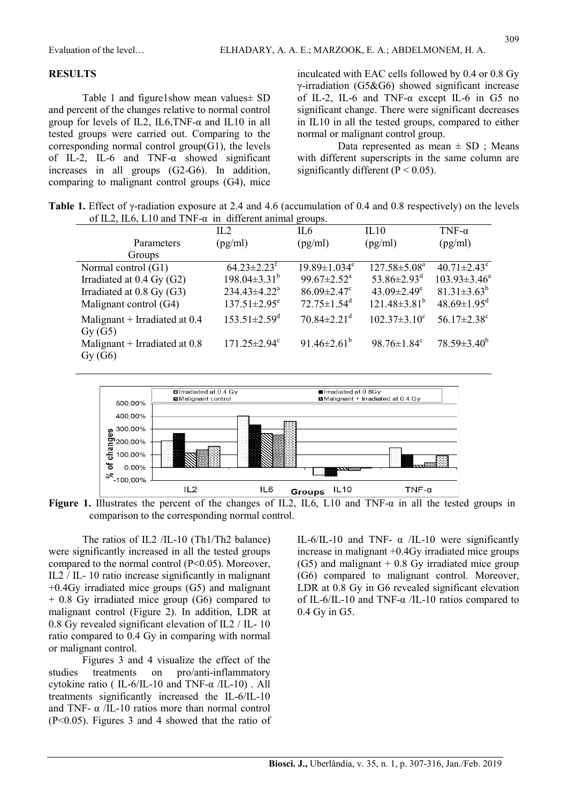#### **RESULTS**

Table 1 and figure1show mean values± SD and percent of the changes relative to normal control group for levels of IL2, IL6, TNF- $\alpha$  and IL10 in all tested groups were carried out. Comparing to the corresponding normal control group(G1), the levels of IL-2, IL-6 and TNF-α showed significant increases in all groups (G2-G6). In addition, comparing to malignant control groups (G4), mice inculcated with EAC cells followed by 0.4 or 0.8 Gy γ-irradiation (G5&G6) showed significant increase of IL-2, IL-6 and TNF-α except IL-6 in G5 no significant change. There were significant decreases in IL10 in all the tested groups, compared to either normal or malignant control group.

Data represented as mean  $\pm$  SD ; Means with different superscripts in the same column are significantly different ( $P < 0.05$ ).

Table 1. Effect of γ-radiation exposure at 2.4 and 4.6 (accumulation of 0.4 and 0.8 respectively) on the levels of IL2, IL6, L10 and TNF- $\alpha$  in different animal groups.

|                                           | IL2                            | $\overline{\phantom{a}}$<br>IL <sub>6</sub> | IL10                          | TNF- $\alpha$                 |
|-------------------------------------------|--------------------------------|---------------------------------------------|-------------------------------|-------------------------------|
| Parameters                                | (pg/ml)                        | (pg/ml)                                     | (pg/ml)                       | (pg/ml)                       |
| Groups                                    |                                |                                             |                               |                               |
| Normal control (G1)                       | $64.23 \pm 2.23$ <sup>f</sup>  | $19.89 \pm 1.034$ <sup>e</sup>              | $127.58 \pm 5.08^a$           | $40.71 \pm 2.43$ <sup>e</sup> |
| Irradiated at $0.4$ Gy (G2)               | $198.04 \pm 3.31^b$            | $99.67 \pm 2.52^{\text{a}}$                 | 53.86 $\pm$ 2.93 <sup>d</sup> | $103.93 \pm 3.46^a$           |
| Irradiated at 0.8 Gy (G3)                 | $234.43 \pm 4.22^{\text{a}}$   | $86.09 \pm 2.47$ °                          | 43.09 $\pm$ 2.49 <sup>e</sup> | $81.31 \pm 3.63^b$            |
| Malignant control (G4)                    | $137.51 \pm 2.95$ <sup>e</sup> | $72.75 \pm 1.54$ <sup>d</sup>               | $121.48 \pm 3.81^b$           | $48.69 \pm 1.95$ <sup>d</sup> |
| Malignant + Irradiated at $0.4$<br>Gy(G5) | $153.51 \pm 2.59$ <sup>d</sup> | $70.84 \pm 2.21$ <sup>d</sup>               | $102.37 \pm 3.10^{\circ}$     | $56.17 \pm 2.38$ <sup>c</sup> |
| Malignant + Irradiated at $0.8$<br>Gy(G6) | $171.25 \pm 2.94$ <sup>c</sup> | 91.46 $\pm$ 2.61 <sup>b</sup>               | $98.76 \pm 1.84$ <sup>c</sup> | $78.59 \pm 3.40^{\circ}$      |



Figure 1. Illustrates the percent of the changes of IL2, IL6, L10 and TNF- $\alpha$  in all the tested groups in comparison to the corresponding normal control.

The ratios of IL2 /IL-10 (Th1/Th2 balance) were significantly increased in all the tested groups compared to the normal control (P<0.05). Moreover, IL2 / IL- 10 ratio increase significantly in malignant +0.4Gy irradiated mice groups (G5) and malignant + 0.8 Gy irradiated mice group (G6) compared to malignant control (Figure 2). In addition, LDR at 0.8 Gy revealed significant elevation of IL2 / IL- 10 ratio compared to 0.4 Gy in comparing with normal or malignant control.

Figures 3 and 4 visualize the effect of the studies treatments on pro/anti-inflammatory cytokine ratio ( IL-6/IL-10 and TNF- $\alpha$ /IL-10). All treatments significantly increased the IL-6/IL-10 and TNF-  $\alpha$  /IL-10 ratios more than normal control (P<0.05). Figures 3 and 4 showed that the ratio of IL-6/IL-10 and TNF-  $\alpha$  /IL-10 were significantly increase in malignant +0.4Gy irradiated mice groups  $(G5)$  and malignant  $+ 0.8$  Gy irradiated mice group (G6) compared to malignant control. Moreover, LDR at 0.8 Gy in G6 revealed significant elevation of IL-6/IL-10 and TNF-α /IL-10 ratios compared to 0.4 Gy in G5.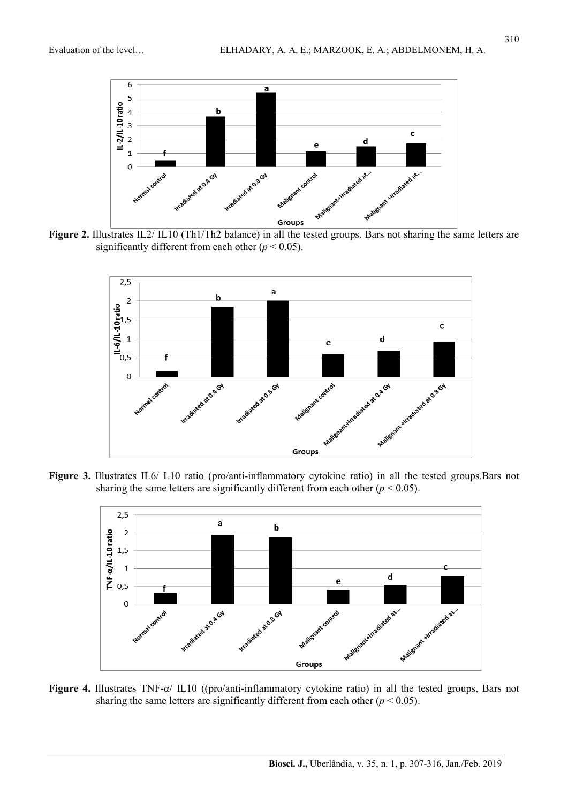

Figure 2. Illustrates IL2/ IL10 (Th1/Th2 balance) in all the tested groups. Bars not sharing the same letters are significantly different from each other ( $p < 0.05$ ).



Figure 3. Illustrates IL6/ L10 ratio (pro/anti-inflammatory cytokine ratio) in all the tested groups.Bars not sharing the same letters are significantly different from each other ( $p < 0.05$ ).



Figure 4. Illustrates TNF-α/ IL10 ((pro/anti-inflammatory cytokine ratio) in all the tested groups, Bars not sharing the same letters are significantly different from each other ( $p < 0.05$ ).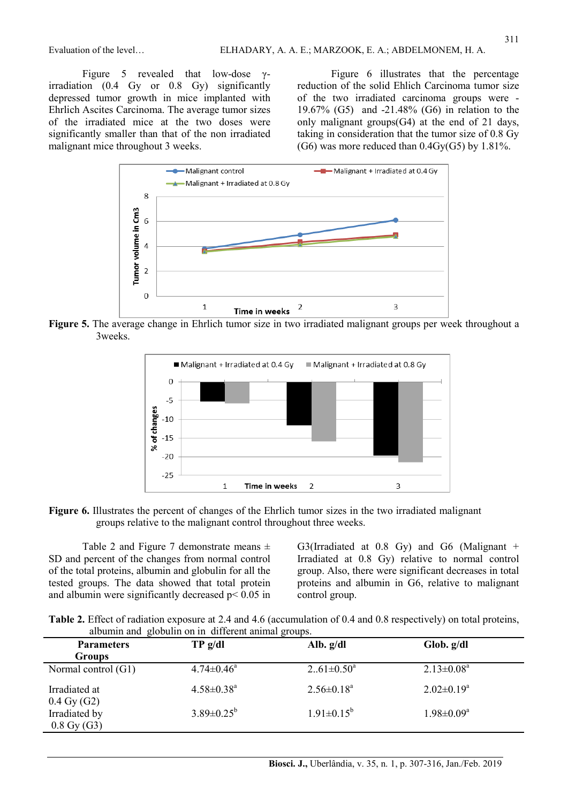Figure 5 revealed that low-dose γirradiation (0.4 Gy or 0.8 Gy) significantly depressed tumor growth in mice implanted with Ehrlich Ascites Carcinoma. The average tumor sizes of the irradiated mice at the two doses were significantly smaller than that of the non irradiated malignant mice throughout 3 weeks.

Figure 6 illustrates that the percentage reduction of the solid Ehlich Carcinoma tumor size of the two irradiated carcinoma groups were - 19.67% (G5) and -21.48% (G6) in relation to the only malignant groups(G4) at the end of 21 days, taking in consideration that the tumor size of 0.8 Gy (G6) was more reduced than  $0.4Gy(G5)$  by 1.81%.



Figure 5. The average change in Ehrlich tumor size in two irradiated malignant groups per week throughout a 3weeks.



Figure 6. Illustrates the percent of changes of the Ehrlich tumor sizes in the two irradiated malignant groups relative to the malignant control throughout three weeks.

Table 2 and Figure 7 demonstrate means  $\pm$ SD and percent of the changes from normal control of the total proteins, albumin and globulin for all the tested groups. The data showed that total protein and albumin were significantly decreased  $p < 0.05$  in G3(Irradiated at 0.8 Gy) and G6 (Malignant + Irradiated at 0.8 Gy) relative to normal control group. Also, there were significant decreases in total proteins and albumin in G6, relative to malignant control group.

Table 2. Effect of radiation exposure at 2.4 and 4.6 (accumulation of 0.4 and 0.8 respectively) on total proteins, albumin and globulin on in different animal groups.

| <b>Parameters</b><br><b>Groups</b>     | TP g/dl                      | Alb. $g/dl$       | Glob. g/dl                 |
|----------------------------------------|------------------------------|-------------------|----------------------------|
| Normal control (G1)                    | $4.74 \pm 0.46^{\circ}$      | $261 \pm 0.50^a$  | $2.13 \pm 0.08^a$          |
| Irradiated at<br>$0.4 \text{ Gy} (G2)$ | $4.58 \pm 0.38$ <sup>a</sup> | $2.56 \pm 0.18^a$ | $2.02 \pm 0.19^a$          |
| Irradiated by<br>$0.8 \text{ Gy (G3)}$ | $3.89 \pm 0.25^{\rm b}$      | $1.91 \pm 0.15^b$ | $1.98 \pm 0.09^{\text{a}}$ |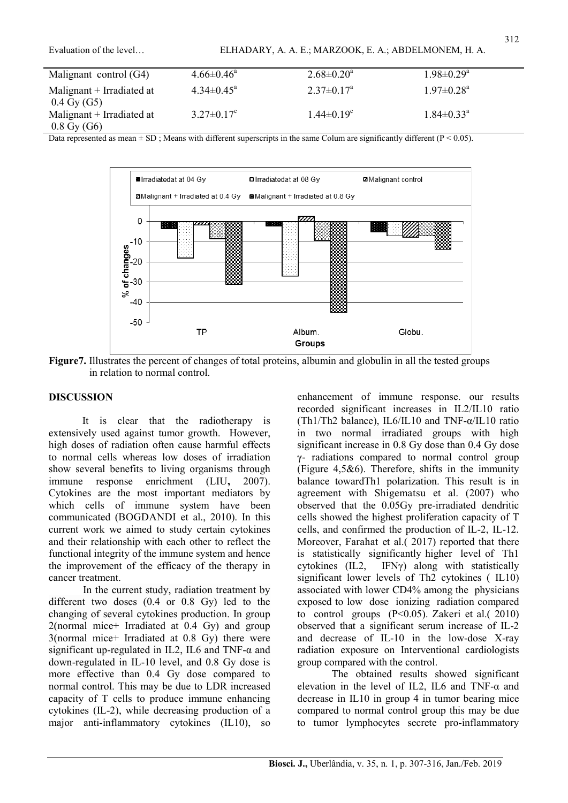| Malignant control (G4)      | $4.66 \pm 0.46^{\circ}$      | $2.68 \pm 0.20^{\circ}$      | $1.98 \pm 0.29^{\mathrm{a}}$ |
|-----------------------------|------------------------------|------------------------------|------------------------------|
| Malignant $+$ Irradiated at | $4.34\pm0.45^{\circ}$        | $2.37 \pm 0.17^{\circ}$      | $1.97 \pm 0.28$ <sup>a</sup> |
| $0.4 \text{ Gy (G5)}$       |                              |                              |                              |
| Malignant + Irradiated at   | $3.27 \pm 0.17$ <sup>c</sup> | $1.44 \pm 0.19$ <sup>c</sup> | $1.84 \pm 0.33$ <sup>a</sup> |
| $0.8 \,\mathrm{Gy}$ (G6)    |                              |                              |                              |

Data represented as mean  $\pm$  SD; Means with different superscripts in the same Colum are significantly different (P < 0.05).



Figure7. Illustrates the percent of changes of total proteins, albumin and globulin in all the tested groups in relation to normal control.

## **DISCUSSION**

It is clear that the radiotherapy is extensively used against tumor growth. However, high doses of radiation often cause harmful effects to normal cells whereas low doses of irradiation show several benefits to living organisms through immune response enrichment (LIU, 2007). Cytokines are the most important mediators by which cells of immune system have been communicated (BOGDANDI et al., 2010). In this current work we aimed to study certain cytokines and their relationship with each other to reflect the functional integrity of the immune system and hence the improvement of the efficacy of the therapy in cancer treatment.

In the current study, radiation treatment by different two doses (0.4 or 0.8 Gy) led to the changing of several cytokines production. In group 2(normal mice+ Irradiated at 0.4 Gy) and group 3(normal mice+ Irradiated at 0.8 Gy) there were significant up-regulated in IL2, IL6 and TNF-α and down-regulated in IL-10 level, and 0.8 Gy dose is more effective than 0.4 Gy dose compared to normal control. This may be due to LDR increased capacity of T cells to produce immune enhancing cytokines (IL-2), while decreasing production of a major anti-inflammatory cytokines (IL10), so enhancement of immune response. our results recorded significant increases in IL2/IL10 ratio (Th1/Th2 balance), IL6/IL10 and TNF-α/IL10 ratio in two normal irradiated groups with high significant increase in 0.8 Gy dose than 0.4 Gy dose γ- radiations compared to normal control group (Figure 4,5&6). Therefore, shifts in the immunity balance towardTh1 polarization. This result is in agreement with Shigematsu et al. (2007) who observed that the 0.05Gy pre-irradiated dendritic cells showed the highest proliferation capacity of T cells, and confirmed the production of IL-2, IL-12. Moreover, Farahat et al.( 2017) reported that there is statistically significantly higher level of Th1 cytokines (IL2, IFNγ) along with statistically significant lower levels of Th2 cytokines ( IL10) associated with lower CD4% among the physicians exposed to low dose ionizing radiation compared to control groups (P<0.05). Zakeri et al.( 2010) observed that a significant serum increase of IL-2 and decrease of IL-10 in the low-dose X-ray radiation exposure on Interventional cardiologists group compared with the control.

The obtained results showed significant elevation in the level of IL2, IL6 and TNF-α and decrease in IL10 in group 4 in tumor bearing mice compared to normal control group this may be due to tumor lymphocytes secrete pro-inflammatory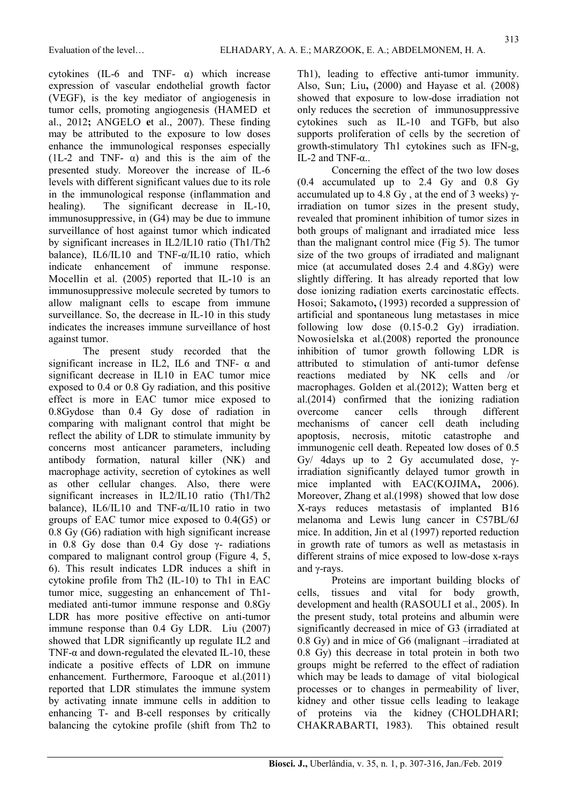313

cytokines (IL-6 and TNF-  $\alpha$ ) which increase expression of vascular endothelial growth factor (VEGF), is the key mediator of angiogenesis in tumor cells, promoting angiogenesis (HAMED et al., 2012; ANGELO et al., 2007). These finding may be attributed to the exposure to low doses enhance the immunological responses especially (1L-2 and TNF-  $\alpha$ ) and this is the aim of the presented study. Moreover the increase of IL-6 levels with different significant values due to its role in the immunological response (inflammation and healing). The significant decrease in IL-10, immunosuppressive, in (G4) may be due to immune surveillance of host against tumor which indicated by significant increases in IL2/IL10 ratio (Th1/Th2 balance), IL6/IL10 and TNF-α/IL10 ratio, which indicate enhancement of immune response. Mocellin et al. (2005) reported that IL-10 is an immunosuppressive molecule secreted by tumors to allow malignant cells to escape from immune surveillance. So, the decrease in IL-10 in this study indicates the increases immune surveillance of host against tumor.

The present study recorded that the significant increase in IL2, IL6 and TNF-  $\alpha$  and significant decrease in IL10 in EAC tumor mice exposed to 0.4 or 0.8 Gy radiation, and this positive effect is more in EAC tumor mice exposed to 0.8Gydose than 0.4 Gy dose of radiation in comparing with malignant control that might be reflect the ability of LDR to stimulate immunity by concerns most anticancer parameters, including antibody formation, natural killer (NK) and macrophage activity, secretion of cytokines as well as other cellular changes. Also, there were significant increases in IL2/IL10 ratio (Th1/Th2 balance), IL6/IL10 and TNF-α/IL10 ratio in two groups of EAC tumor mice exposed to 0.4(G5) or 0.8 Gy (G6) radiation with high significant increase in 0.8 Gy dose than 0.4 Gy dose  $\gamma$ - radiations compared to malignant control group (Figure 4, 5, 6). This result indicates LDR induces a shift in cytokine profile from Th2 (IL-10) to Th1 in EAC tumor mice, suggesting an enhancement of Th1 mediated anti-tumor immune response and 0.8Gy LDR has more positive effective on anti-tumor immune response than 0.4 Gy LDR. Liu (2007) showed that LDR significantly up regulate IL2 and TNF- $\alpha$  and down-regulated the elevated IL-10, these indicate a positive effects of LDR on immune enhancement. Furthermore, Farooque et al.(2011) reported that LDR stimulates the immune system by activating innate immune cells in addition to enhancing T- and B-cell responses by critically balancing the cytokine profile (shift from Th2 to Th1), leading to effective anti-tumor immunity. Also, Sun; Liu, (2000) and Hayase et al. (2008) showed that exposure to low-dose irradiation not only reduces the secretion of immunosuppressive cytokines such as IL-10 and TGFb, but also supports proliferation of cells by the secretion of growth-stimulatory Th1 cytokines such as IFN-g, IL-2 and TNF-α..

Concerning the effect of the two low doses (0.4 accumulated up to 2.4 Gy and 0.8 Gy accumulated up to 4.8 Gy, at the end of 3 weeks)  $γ$ irradiation on tumor sizes in the present study, revealed that prominent inhibition of tumor sizes in both groups of malignant and irradiated mice less than the malignant control mice (Fig 5). The tumor size of the two groups of irradiated and malignant mice (at accumulated doses 2.4 and 4.8Gy) were slightly differing. It has already reported that low dose ionizing radiation exerts carcinostatic effects. Hosoi; Sakamoto, (1993) recorded a suppression of artificial and spontaneous lung metastases in mice following low dose (0.15-0.2 Gy) irradiation. Nowosielska et al.(2008) reported the pronounce inhibition of tumor growth following LDR is attributed to stimulation of anti-tumor defense reactions mediated by NK cells and /or macrophages. Golden et al.(2012); Watten berg et al.(2014) confirmed that the ionizing radiation overcome cancer cells through different mechanisms of cancer cell death including apoptosis, necrosis, mitotic catastrophe and immunogenic cell death. Repeated low doses of 0.5 Gy/ 4days up to 2 Gy accumulated dose,  $γ$ irradiation significantly delayed tumor growth in mice implanted with EAC(KOJIMA, 2006). Moreover, Zhang et al.(1998) showed that low dose X-rays reduces metastasis of implanted B16 melanoma and Lewis lung cancer in C57BL/6J mice. In addition, Jin et al (1997) reported reduction in growth rate of tumors as well as metastasis in different strains of mice exposed to low-dose x-rays and γ-rays.

Proteins are important building blocks of cells, tissues and vital for body growth, development and health (RASOULI et al., 2005). In the present study, total proteins and albumin were significantly decreased in mice of G3 (irradiated at 0.8 Gy) and in mice of G6 (malignant –irradiated at 0.8 Gy) this decrease in total protein in both two groups might be referred to the effect of radiation which may be leads to damage of vital biological processes or to changes in permeability of liver, kidney and other tissue cells leading to leakage of proteins via the kidney (CHOLDHARI; CHAKRABARTI, 1983). This obtained result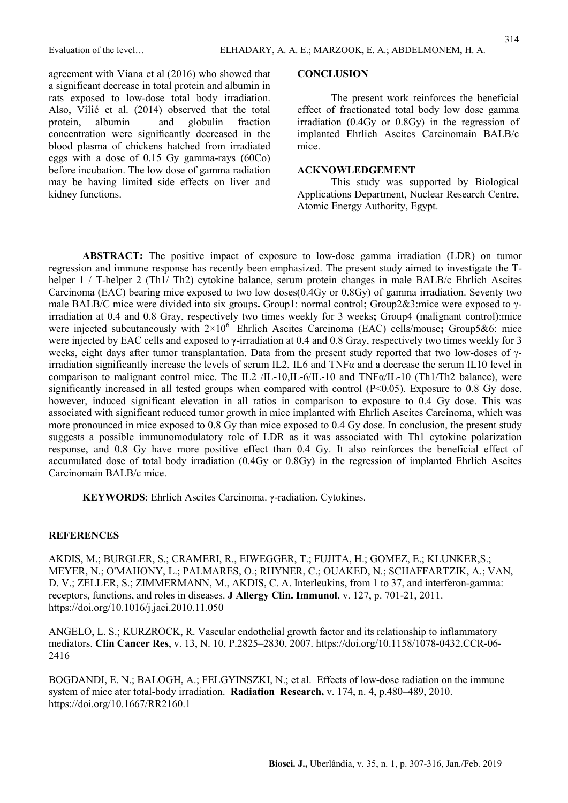agreement with Viana et al (2016) who showed that a significant decrease in total protein and albumin in rats exposed to low-dose total body irradiation. Also, Vilić et al. (2014) observed that the total protein, albumin and globulin fraction concentration were significantly decreased in the blood plasma of chickens hatched from irradiated eggs with a dose of 0.15 Gy gamma-rays (60Co) before incubation. The low dose of gamma radiation may be having limited side effects on liver and kidney functions.

#### **CONCLUSION**

The present work reinforces the beneficial effect of fractionated total body low dose gamma irradiation (0.4Gy or 0.8Gy) in the regression of implanted Ehrlich Ascites Carcinomain BALB/c mice.

#### ACKNOWLEDGEMENT

This study was supported by Biological Applications Department, Nuclear Research Centre, Atomic Energy Authority, Egypt.

ABSTRACT: The positive impact of exposure to low-dose gamma irradiation (LDR) on tumor regression and immune response has recently been emphasized. The present study aimed to investigate the Thelper 1 / T-helper 2 (Th1/ Th2) cytokine balance, serum protein changes in male BALB/c Ehrlich Ascites Carcinoma (EAC) bearing mice exposed to two low doses(0.4Gy or 0.8Gy) of gamma irradiation. Seventy two male BALB/C mice were divided into six groups. Group1: normal control; Group2&3:mice were exposed to  $\gamma$ irradiation at 0.4 and 0.8 Gray, respectively two times weekly for 3 weeks; Group4 (malignant control):mice were injected subcutaneously with  $2\times10^6$  Ehrlich Ascites Carcinoma (EAC) cells/mouse; Group5&6: mice were injected by EAC cells and exposed to γ-irradiation at 0.4 and 0.8 Gray, respectively two times weekly for 3 weeks, eight days after tumor transplantation. Data from the present study reported that two low-doses of γirradiation significantly increase the levels of serum IL2, IL6 and TNFα and a decrease the serum IL10 level in comparison to malignant control mice. The IL2 /IL-10,IL-6/IL-10 and TNF $\alpha$ /IL-10 (Th1/Th2 balance), were significantly increased in all tested groups when compared with control (P<0.05). Exposure to 0.8 Gy dose, however, induced significant elevation in all ratios in comparison to exposure to 0.4 Gy dose. This was associated with significant reduced tumor growth in mice implanted with Ehrlich Ascites Carcinoma, which was more pronounced in mice exposed to 0.8 Gy than mice exposed to 0.4 Gy dose. In conclusion, the present study suggests a possible immunomodulatory role of LDR as it was associated with Th1 cytokine polarization response, and 0.8 Gy have more positive effect than 0.4 Gy. It also reinforces the beneficial effect of accumulated dose of total body irradiation (0.4Gy or 0.8Gy) in the regression of implanted Ehrlich Ascites Carcinomain BALB/c mice.

KEYWORDS: Ehrlich Ascites Carcinoma. γ-radiation. Cytokines.

#### **REFERENCES**

AKDIS, M.; BURGLER, S.; CRAMERI, R., EIWEGGER, T.; FUJITA, H.; GOMEZ, E.; KLUNKER,S.; MEYER, N.; O'MAHONY, L.; PALMARES, O.; RHYNER, C.; OUAKED, N.; SCHAFFARTZIK, A.; VAN, D. V.; ZELLER, S.; ZIMMERMANN, M., AKDIS, C. A. Interleukins, from 1 to 37, and interferon-gamma: receptors, functions, and roles in diseases. J Allergy Clin. Immunol, v. 127, p. 701-21, 2011. https://doi.org/10.1016/j.jaci.2010.11.050

ANGELO, L. S.; KURZROCK, R. Vascular endothelial growth factor and its relationship to inflammatory mediators. Clin Cancer Res, v. 13, N. 10, P.2825–2830, 2007. https://doi.org/10.1158/1078-0432.CCR-06- 2416

BOGDANDI, E. N.; BALOGH, A.; FELGYINSZKI, N.; et al. Effects of low-dose radiation on the immune system of mice ater total-body irradiation. Radiation Research, v. 174, n. 4, p.480–489, 2010. https://doi.org/10.1667/RR2160.1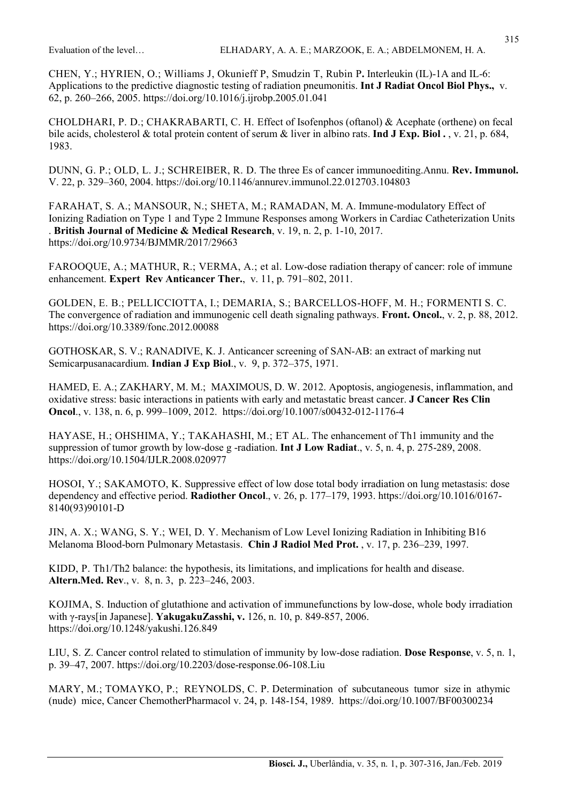CHEN, Y.; HYRIEN, O.; Williams J, Okunieff P, Smudzin T, Rubin P. Interleukin (IL)-1A and IL-6: Applications to the predictive diagnostic testing of radiation pneumonitis. **Int J Radiat Oncol Biol Phys.**, v. 62, p. 260–266, 2005. https://doi.org/10.1016/j.ijrobp.2005.01.041

CHOLDHARI, P. D.; CHAKRABARTI, C. H. Effect of Isofenphos (oftanol) & Acephate (orthene) on fecal bile acids, cholesterol & total protein content of serum & liver in albino rats. **Ind J Exp. Biol.**, v. 21, p. 684, 1983.

DUNN, G. P.; OLD, L. J.; SCHREIBER, R. D. The three Es of cancer immunoediting.Annu. Rev. Immunol. V. 22, p. 329–360, 2004. https://doi.org/10.1146/annurev.immunol.22.012703.104803

FARAHAT, S. A.; MANSOUR, N.; SHETA, M.; RAMADAN, M. A. Immune-modulatory Effect of Ionizing Radiation on Type 1 and Type 2 Immune Responses among Workers in Cardiac Catheterization Units . British Journal of Medicine & Medical Research, v. 19, n. 2, p. 1-10, 2017. https://doi.org/10.9734/BJMMR/2017/29663

FAROOQUE, A.; MATHUR, R.; VERMA, A.; et al. Low-dose radiation therapy of cancer: role of immune enhancement. Expert Rev Anticancer Ther., v. 11, p. 791–802, 2011.

GOLDEN, E. B.; PELLICCIOTTA, I.; DEMARIA, S.; BARCELLOS-HOFF, M. H.; FORMENTI S. C. The convergence of radiation and immunogenic cell death signaling pathways. Front. Oncol., v. 2, p. 88, 2012. https://doi.org/10.3389/fonc.2012.00088

GOTHOSKAR, S. V.; RANADIVE, K. J. Anticancer screening of SAN-AB: an extract of marking nut Semicarpusanacardium. Indian J Exp Biol., v. 9, p. 372–375, 1971.

HAMED, E. A.; ZAKHARY, M. M.; MAXIMOUS, D. W. 2012. Apoptosis, angiogenesis, inflammation, and oxidative stress: basic interactions in patients with early and metastatic breast cancer. J Cancer Res Clin Oncol., v. 138, n. 6, p. 999–1009, 2012. https://doi.org/10.1007/s00432-012-1176-4

HAYASE, H.; OHSHIMA, Y.; TAKAHASHI, M.; ET AL. The enhancement of Th1 immunity and the suppression of tumor growth by low-dose g-radiation. **Int J Low Radiat.**, v. 5, n. 4, p. 275-289, 2008. https://doi.org/10.1504/IJLR.2008.020977

HOSOI, Y.; SAKAMOTO, K. Suppressive effect of low dose total body irradiation on lung metastasis: dose dependency and effective period. **Radiother Oncol.**, v. 26, p. 177–179, 1993. https://doi.org/10.1016/0167-8140(93)90101-D

JIN, A. X.; WANG, S. Y.; WEI, D. Y. Mechanism of Low Level Ionizing Radiation in Inhibiting B16 Melanoma Blood-born Pulmonary Metastasis. Chin J Radiol Med Prot. , v. 17, p. 236–239, 1997.

KIDD, P. Th1/Th2 balance: the hypothesis, its limitations, and implications for health and disease. Altern.Med. Rev., v. 8, n. 3, p. 223–246, 2003.

KOJIMA, S. Induction of glutathione and activation of immunefunctions by low-dose, whole body irradiation with γ-rays[in Japanese]. YakugakuZasshi, v. 126, n. 10, p. 849-857, 2006. https://doi.org/10.1248/yakushi.126.849

LIU, S. Z. Cancer control related to stimulation of immunity by low-dose radiation. Dose Response, v. 5, n. 1, p. 39–47, 2007. https://doi.org/10.2203/dose-response.06-108.Liu

MARY, M.; TOMAYKO, P.; REYNOLDS, C. P. Determination of subcutaneous tumor size in athymic (nude) mice, Cancer ChemotherPharmacol v. 24, p. 148-154, 1989. https://doi.org/10.1007/BF00300234